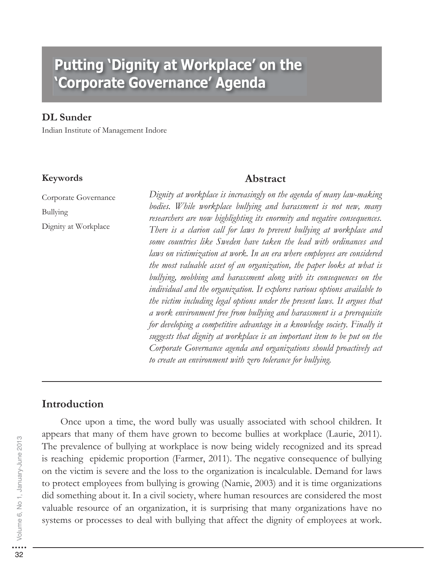# **Putting 'Dignity at Workplace' on the 'Corporate Governance' Agenda**

#### **DL Sunder**

Indian Institute of Management Indore

#### **Keywords**

Corporate Governance Bullying Dignity at Workplace

#### **Abstract**

*Dignity at workplace is increasingly on the agenda of many law-making bodies. While workplace bullying and harassment is not new, many researchers are now highlighting its enormity and negative consequences. There is a clarion call for laws to prevent bullying at workplace and some countries like Sweden have taken the lead with ordinances and laws on victimization at work. In an era where employees are considered the most valuable asset of an organization, the paper looks at what is bullying, mobbing and harassment along with its consequences on the individual and the organization. It explores various options available to the victim including legal options under the present laws. It argues that a work environment free from bullying and harassment is a prerequisite for developing a competitive advantage in a knowledge society. Finally it suggests that dignity at workplace is an important item to be put on the Corporate Governance agenda and organizations should proactively act to create an environment with zero tolerance for bullying.* 

# **Introduction**

Once upon a time, the word bully was usually associated with school children. It appears that many of them have grown to become bullies at workplace (Laurie, 2011). The prevalence of bullying at workplace is now being widely recognized and its spread is reaching epidemic proportion (Farmer, 2011). The negative consequence of bullying on the victim is severe and the loss to the organization is incalculable. Demand for laws to protect employees from bullying is growing (Namie, 2003) and it is time organizations did something about it. In a civil society, where human resources are considered the most valuable resource of an organization, it is surprising that many organizations have no systems or processes to deal with bullying that affect the dignity of employees at work.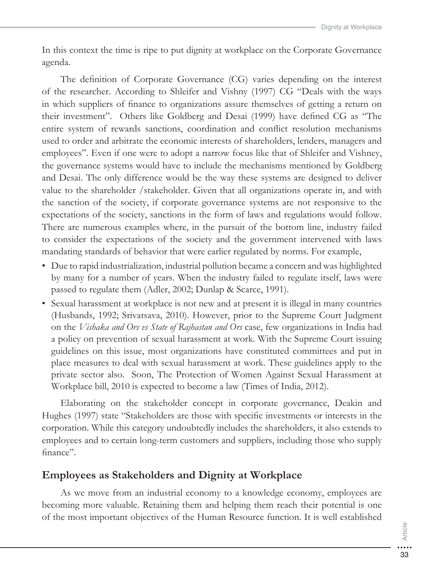In this context the time is ripe to put dignity at workplace on the Corporate Governance agenda.

The definition of Corporate Governance (CG) varies depending on the interest of the researcher. According to Shleifer and Vishny (1997) CG "Deals with the ways in which suppliers of finance to organizations assure themselves of getting a return on their investment". Others like Goldberg and Desai (1999) have defined CG as "The entire system of rewards sanctions, coordination and conflict resolution mechanisms used to order and arbitrate the economic interests of shareholders, lenders, managers and employees". Even if one were to adopt a narrow focus like that of Shleifer and Vishney, the governance systems would have to include the mechanisms mentioned by Goldberg and Desai. The only difference would be the way these systems are designed to deliver value to the shareholder /stakeholder. Given that all organizations operate in, and with the sanction of the society, if corporate governance systems are not responsive to the expectations of the society, sanctions in the form of laws and regulations would follow. There are numerous examples where, in the pursuit of the bottom line, industry failed to consider the expectations of the society and the government intervened with laws mandating standards of behavior that were earlier regulated by norms. For example,

- Due to rapid industrialization, industrial pollution became a concern and was highlighted by many for a number of years. When the industry failed to regulate itself, laws were passed to regulate them (Adler, 2002; Dunlap & Scarce, 1991).
- Sexual harassment at workplace is not new and at present it is illegal in many countries (Husbands, 1992; Srivatsava, 2010). However, prior to the Supreme Court Judgment on the *Vishaka and Ors vs State of Rajhastan and Ors* case, few organizations in India had a policy on prevention of sexual harassment at work. With the Supreme Court issuing guidelines on this issue, most organizations have constituted committees and put in place measures to deal with sexual harassment at work. These guidelines apply to the private sector also. Soon, The Protection of Women Against Sexual Harassment at Workplace bill, 2010 is expected to become a law (Times of India, 2012).

Elaborating on the stakeholder concept in corporate governance, Deakin and Hughes (1997) state "Stakeholders are those with specific investments or interests in the corporation. While this category undoubtedly includes the shareholders, it also extends to employees and to certain long-term customers and suppliers, including those who supply finance".

#### **Employees as Stakeholders and Dignity at Workplace**

As we move from an industrial economy to a knowledge economy, employees are becoming more valuable. Retaining them and helping them reach their potential is one of the most important objectives of the Human Resource function. It is well established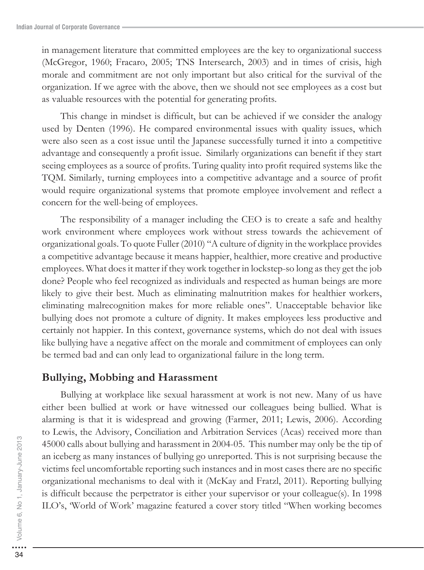in management literature that committed employees are the key to organizational success (McGregor, 1960; Fracaro, 2005; TNS Intersearch, 2003) and in times of crisis, high morale and commitment are not only important but also critical for the survival of the organization. If we agree with the above, then we should not see employees as a cost but as valuable resources with the potential for generating profits.

This change in mindset is difficult, but can be achieved if we consider the analogy used by Denten (1996). He compared environmental issues with quality issues, which were also seen as a cost issue until the Japanese successfully turned it into a competitive advantage and consequently a profit issue. Similarly organizations can benefit if they start seeing employees as a source of profits. Turing quality into profit required systems like the TQM. Similarly, turning employees into a competitive advantage and a source of profit would require organizational systems that promote employee involvement and reflect a concern for the well-being of employees.

The responsibility of a manager including the CEO is to create a safe and healthy work environment where employees work without stress towards the achievement of organizational goals. To quote Fuller (2010) "A culture of dignity in the workplace provides a competitive advantage because it means happier, healthier, more creative and productive employees. What does it matter if they work together in lockstep-so long as they get the job done? People who feel recognized as individuals and respected as human beings are more likely to give their best. Much as eliminating malnutrition makes for healthier workers, eliminating malrecognition makes for more reliable ones". Unacceptable behavior like bullying does not promote a culture of dignity. It makes employees less productive and certainly not happier. In this context, governance systems, which do not deal with issues like bullying have a negative affect on the morale and commitment of employees can only be termed bad and can only lead to organizational failure in the long term.

### **Bullying, Mobbing and Harassment**

Bullying at workplace like sexual harassment at work is not new. Many of us have either been bullied at work or have witnessed our colleagues being bullied. What is alarming is that it is widespread and growing (Farmer, 2011; Lewis, 2006). According to Lewis, the Advisory, Conciliation and Arbitration Services (Acas) received more than 45000 calls about bullying and harassment in 2004-05. This number may only be the tip of an iceberg as many instances of bullying go unreported. This is not surprising because the victims feel uncomfortable reporting such instances and in most cases there are no specific organizational mechanisms to deal with it (McKay and Fratzl, 2011). Reporting bullying is difficult because the perpetrator is either your supervisor or your colleague(s). In 1998 ILO's, 'World of Work' magazine featured a cover story titled "When working becomes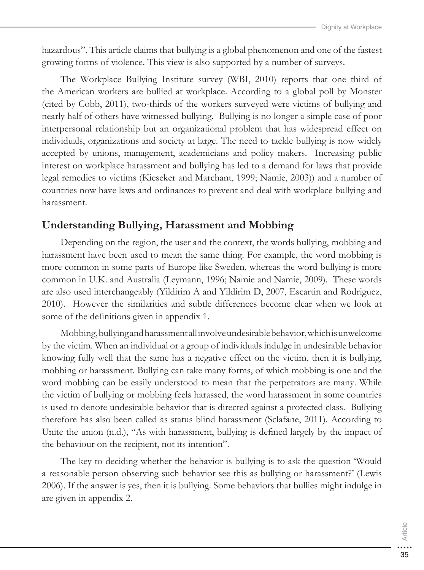hazardous". This article claims that bullying is a global phenomenon and one of the fastest growing forms of violence. This view is also supported by a number of surveys.

The Workplace Bullying Institute survey (WBI, 2010) reports that one third of the American workers are bullied at workplace. According to a global poll by Monster (cited by Cobb, 2011), two-thirds of the workers surveyed were victims of bullying and nearly half of others have witnessed bullying. Bullying is no longer a simple case of poor interpersonal relationship but an organizational problem that has widespread effect on individuals, organizations and society at large. The need to tackle bullying is now widely accepted by unions, management, academicians and policy makers. Increasing public interest on workplace harassment and bullying has led to a demand for laws that provide legal remedies to victims (Kieseker and Marchant, 1999; Namie, 2003)) and a number of countries now have laws and ordinances to prevent and deal with workplace bullying and harassment.

### **Understanding Bullying, Harassment and Mobbing**

Depending on the region, the user and the context, the words bullying, mobbing and harassment have been used to mean the same thing. For example, the word mobbing is more common in some parts of Europe like Sweden, whereas the word bullying is more common in U.K. and Australia (Leymann, 1996; Namie and Namie, 2009). These words are also used interchangeably (Yildirim A and Yildirim D, 2007, Escartin and Rodriguez, 2010). However the similarities and subtle differences become clear when we look at some of the definitions given in appendix 1.

Mobbing, bullying and harassment all involve undesirable behavior, which is unwelcome by the victim. When an individual or a group of individuals indulge in undesirable behavior knowing fully well that the same has a negative effect on the victim, then it is bullying, mobbing or harassment. Bullying can take many forms, of which mobbing is one and the word mobbing can be easily understood to mean that the perpetrators are many. While the victim of bullying or mobbing feels harassed, the word harassment in some countries is used to denote undesirable behavior that is directed against a protected class. Bullying therefore has also been called as status blind harassment (Sclafane, 2011). According to Unite the union (n.d.), "As with harassment, bullying is defined largely by the impact of the behaviour on the recipient, not its intention".

The key to deciding whether the behavior is bullying is to ask the question 'Would a reasonable person observing such behavior see this as bullying or harassment?' (Lewis 2006). If the answer is yes, then it is bullying. Some behaviors that bullies might indulge in are given in appendix 2.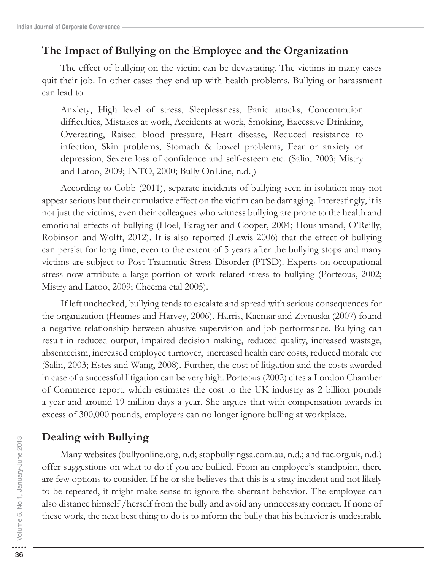### **The Impact of Bullying on the Employee and the Organization**

The effect of bullying on the victim can be devastating. The victims in many cases quit their job. In other cases they end up with health problems. Bullying or harassment can lead to

Anxiety, High level of stress, Sleeplessness, Panic attacks, Concentration difficulties, Mistakes at work, Accidents at work, Smoking, Excessive Drinking, Overeating, Raised blood pressure, Heart disease, Reduced resistance to infection, Skin problems, Stomach & bowel problems, Fear or anxiety or depression, Severe loss of confidence and self-esteem etc. (Salin, 2003; Mistry and Latoo, 2009; INTO, 2000; Bully OnLine, n.d. $_{\rm b}$ )

According to Cobb (2011), separate incidents of bullying seen in isolation may not appear serious but their cumulative effect on the victim can be damaging. Interestingly, it is not just the victims, even their colleagues who witness bullying are prone to the health and emotional effects of bullying (Hoel, Faragher and Cooper, 2004; Houshmand, O'Reilly, Robinson and Wolff, 2012). It is also reported (Lewis 2006) that the effect of bullying can persist for long time, even to the extent of 5 years after the bullying stops and many victims are subject to Post Traumatic Stress Disorder (PTSD). Experts on occupational stress now attribute a large portion of work related stress to bullying (Porteous, 2002; Mistry and Latoo, 2009; Cheema etal 2005).

If left unchecked, bullying tends to escalate and spread with serious consequences for the organization (Heames and Harvey, 2006). Harris, Kacmar and Zivnuska (2007) found a negative relationship between abusive supervision and job performance. Bullying can result in reduced output, impaired decision making, reduced quality, increased wastage, absenteeism, increased employee turnover, increased health care costs, reduced morale etc (Salin, 2003; Estes and Wang, 2008). Further, the cost of litigation and the costs awarded in case of a successful litigation can be very high. Porteous (2002) cites a London Chamber of Commerce report, which estimates the cost to the UK industry as 2 billion pounds a year and around 19 million days a year. She argues that with compensation awards in excess of 300,000 pounds, employers can no longer ignore bulling at workplace.

### **Dealing with Bullying**

Many websites (bullyonline.org, n.d; stopbullyingsa.com.au, n.d.; and tuc.org.uk, n.d.) offer suggestions on what to do if you are bullied. From an employee's standpoint, there are few options to consider. If he or she believes that this is a stray incident and not likely to be repeated, it might make sense to ignore the aberrant behavior. The employee can also distance himself /herself from the bully and avoid any unnecessary contact. If none of these work, the next best thing to do is to inform the bully that his behavior is undesirable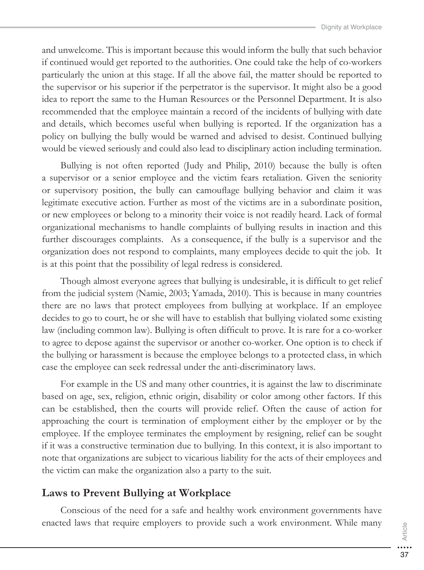and unwelcome. This is important because this would inform the bully that such behavior if continued would get reported to the authorities. One could take the help of co-workers particularly the union at this stage. If all the above fail, the matter should be reported to the supervisor or his superior if the perpetrator is the supervisor. It might also be a good idea to report the same to the Human Resources or the Personnel Department. It is also recommended that the employee maintain a record of the incidents of bullying with date and details, which becomes useful when bullying is reported. If the organization has a policy on bullying the bully would be warned and advised to desist. Continued bullying would be viewed seriously and could also lead to disciplinary action including termination.

Bullying is not often reported (Judy and Philip, 2010) because the bully is often a supervisor or a senior employee and the victim fears retaliation. Given the seniority or supervisory position, the bully can camouflage bullying behavior and claim it was legitimate executive action. Further as most of the victims are in a subordinate position, or new employees or belong to a minority their voice is not readily heard. Lack of formal organizational mechanisms to handle complaints of bullying results in inaction and this further discourages complaints. As a consequence, if the bully is a supervisor and the organization does not respond to complaints, many employees decide to quit the job. It is at this point that the possibility of legal redress is considered.

Though almost everyone agrees that bullying is undesirable, it is difficult to get relief from the judicial system (Namie, 2003; Yamada, 2010). This is because in many countries there are no laws that protect employees from bullying at workplace. If an employee decides to go to court, he or she will have to establish that bullying violated some existing law (including common law). Bullying is often difficult to prove. It is rare for a co-worker to agree to depose against the supervisor or another co-worker. One option is to check if the bullying or harassment is because the employee belongs to a protected class, in which case the employee can seek redressal under the anti-discriminatory laws.

For example in the US and many other countries, it is against the law to discriminate based on age, sex, religion, ethnic origin, disability or color among other factors. If this can be established, then the courts will provide relief. Often the cause of action for approaching the court is termination of employment either by the employer or by the employee. If the employee terminates the employment by resigning, relief can be sought if it was a constructive termination due to bullying. In this context, it is also important to note that organizations are subject to vicarious liability for the acts of their employees and the victim can make the organization also a party to the suit.

#### **Laws to Prevent Bullying at Workplace**

Conscious of the need for a safe and healthy work environment governments have enacted laws that require employers to provide such a work environment. While many

Article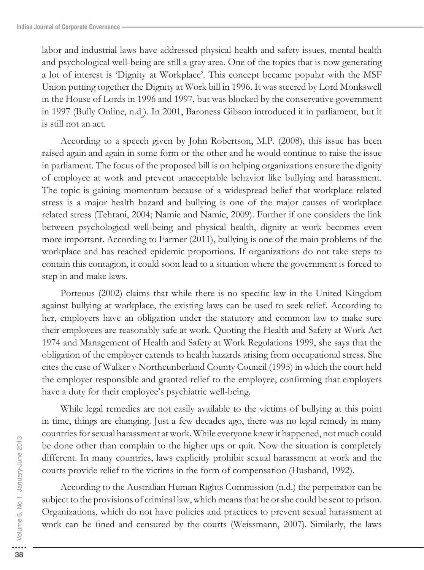labor and industrial laws have addressed physical health and safety issues, mental health and psychological well-being are still a gray area. One of the topics that is now generating a lot of interest is 'Dignity at Workplace'. This concept became popular with the MSF Union putting together the Dignity at Work bill in 1996. It was steered by Lord Monkswell in the House of Lords in 1996 and 1997, but was blocked by the conservative government in 1997 (Bully Online, n.d<sub>a</sub>). In 2001, Baroness Gibson introduced it in parliament, but it is still not an act.

According to a speech given by John Robertson, M.P. (2008), this issue has been raised again and again in some form or the other and he would continue to raise the issue in parliament. The focus of the proposed bill is on helping organizations ensure the dignity of employee at work and prevent unacceptable behavior like bullying and harassment. The topic is gaining momentum because of a widespread belief that workplace related stress is a major health hazard and bullying is one of the major causes of workplace related stress (Tehrani, 2004; Namie and Namie, 2009). Further if one considers the link between psychological well-being and physical health, dignity at work becomes even more important. According to Farmer (2011), bullying is one of the main problems of the workplace and has reached epidemic proportions. If organizations do not take steps to contain this contagion, it could soon lead to a situation where the government is forced to step in and make laws.

Porteous (2002) claims that while there is no specific law in the United Kingdom against bullying at workplace, the existing laws can be used to seek relief. According to her, employers have an obligation under the statutory and common law to make sure their employees are reasonably safe at work. Quoting the Health and Safety at Work Act 1974 and Management of Health and Safety at Work Regulations 1999, she says that the obligation of the employer extends to health hazards arising from occupational stress. She cites the case of Walker v Northeunberland County Council (1995) in which the court held the employer responsible and granted relief to the employee, confirming that employers have a duty for their employee's psychiatric well-being.

While legal remedies are not easily available to the victims of bullying at this point in time, things are changing. Just a few decades ago, there was no legal remedy in many countries for sexual harassment at work. While everyone knew it happened, not much could be done other than complain to the higher ups or quit. Now the situation is completely different. In many countries, laws explicitly prohibit sexual harassment at work and the courts provide relief to the victims in the form of compensation (Husband, 1992).

According to the Australian Human Rights Commission (n.d.) the perpetrator can be subject to the provisions of criminal law, which means that he or she could be sent to prison. Organizations, which do not have policies and practices to prevent sexual harassment at work can be fined and censured by the courts (Weissmann, 2007). Similarly, the laws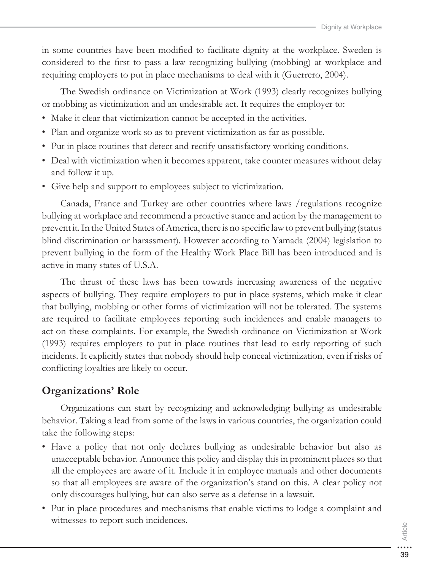in some countries have been modified to facilitate dignity at the workplace. Sweden is considered to the first to pass a law recognizing bullying (mobbing) at workplace and requiring employers to put in place mechanisms to deal with it (Guerrero, 2004).

The Swedish ordinance on Victimization at Work (1993) clearly recognizes bullying or mobbing as victimization and an undesirable act. It requires the employer to:

- Make it clear that victimization cannot be accepted in the activities.
- Plan and organize work so as to prevent victimization as far as possible.
- Put in place routines that detect and rectify unsatisfactory working conditions.
- Deal with victimization when it becomes apparent, take counter measures without delay and follow it up.
- Give help and support to employees subject to victimization.

Canada, France and Turkey are other countries where laws /regulations recognize bullying at workplace and recommend a proactive stance and action by the management to prevent it. In the United States of America, there is no specific law to prevent bullying (status blind discrimination or harassment). However according to Yamada (2004) legislation to prevent bullying in the form of the Healthy Work Place Bill has been introduced and is active in many states of U.S.A.

The thrust of these laws has been towards increasing awareness of the negative aspects of bullying. They require employers to put in place systems, which make it clear that bullying, mobbing or other forms of victimization will not be tolerated. The systems are required to facilitate employees reporting such incidences and enable managers to act on these complaints. For example, the Swedish ordinance on Victimization at Work (1993) requires employers to put in place routines that lead to early reporting of such incidents. It explicitly states that nobody should help conceal victimization, even if risks of conflicting loyalties are likely to occur.

### **Organizations' Role**

Organizations can start by recognizing and acknowledging bullying as undesirable behavior. Taking a lead from some of the laws in various countries, the organization could take the following steps:

- Have a policy that not only declares bullying as undesirable behavior but also as unacceptable behavior. Announce this policy and display this in prominent places so that all the employees are aware of it. Include it in employee manuals and other documents so that all employees are aware of the organization's stand on this. A clear policy not only discourages bullying, but can also serve as a defense in a lawsuit.
- Put in place procedures and mechanisms that enable victims to lodge a complaint and witnesses to report such incidences.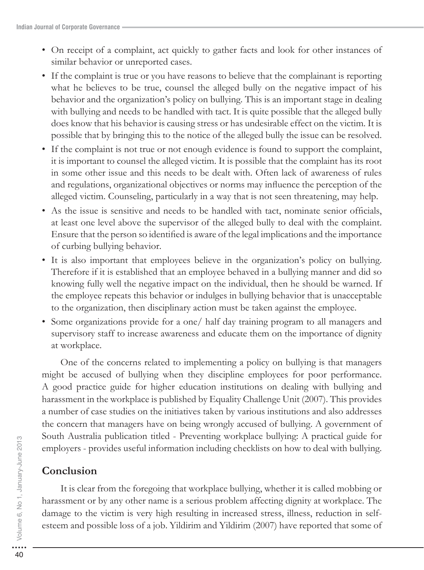- On receipt of a complaint, act quickly to gather facts and look for other instances of similar behavior or unreported cases.
- If the complaint is true or you have reasons to believe that the complainant is reporting what he believes to be true, counsel the alleged bully on the negative impact of his behavior and the organization's policy on bullying. This is an important stage in dealing with bullying and needs to be handled with tact. It is quite possible that the alleged bully does know that his behavior is causing stress or has undesirable effect on the victim. It is possible that by bringing this to the notice of the alleged bully the issue can be resolved.
- If the complaint is not true or not enough evidence is found to support the complaint, it is important to counsel the alleged victim. It is possible that the complaint has its root in some other issue and this needs to be dealt with. Often lack of awareness of rules and regulations, organizational objectives or norms may influence the perception of the alleged victim. Counseling, particularly in a way that is not seen threatening, may help.
- As the issue is sensitive and needs to be handled with tact, nominate senior officials, at least one level above the supervisor of the alleged bully to deal with the complaint. Ensure that the person so identified is aware of the legal implications and the importance of curbing bullying behavior.
- It is also important that employees believe in the organization's policy on bullying. Therefore if it is established that an employee behaved in a bullying manner and did so knowing fully well the negative impact on the individual, then he should be warned. If the employee repeats this behavior or indulges in bullying behavior that is unacceptable to the organization, then disciplinary action must be taken against the employee.
- Some organizations provide for a one/ half day training program to all managers and supervisory staff to increase awareness and educate them on the importance of dignity at workplace.

One of the concerns related to implementing a policy on bullying is that managers might be accused of bullying when they discipline employees for poor performance. A good practice guide for higher education institutions on dealing with bullying and harassment in the workplace is published by Equality Challenge Unit (2007). This provides a number of case studies on the initiatives taken by various institutions and also addresses the concern that managers have on being wrongly accused of bullying. A government of South Australia publication titled - Preventing workplace bullying: A practical guide for employers - provides useful information including checklists on how to deal with bullying.

### **Conclusion**

It is clear from the foregoing that workplace bullying, whether it is called mobbing or harassment or by any other name is a serious problem affecting dignity at workplace. The damage to the victim is very high resulting in increased stress, illness, reduction in selfesteem and possible loss of a job. Yildirim and Yildirim (2007) have reported that some of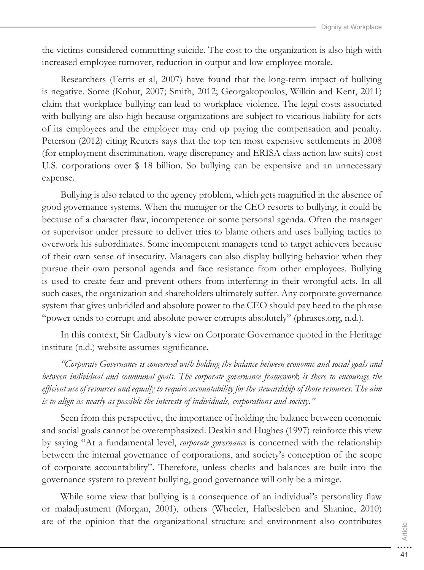the victims considered committing suicide. The cost to the organization is also high with increased employee turnover, reduction in output and low employee morale.

Researchers (Ferris et al, 2007) have found that the long-term impact of bullying is negative. Some (Kohut, 2007; Smith, 2012; Georgakopoulos, Wilkin and Kent, 2011) claim that workplace bullying can lead to workplace violence. The legal costs associated with bullying are also high because organizations are subject to vicarious liability for acts of its employees and the employer may end up paying the compensation and penalty. Peterson (2012) citing Reuters says that the top ten most expensive settlements in 2008 (for employment discrimination, wage discrepancy and ERISA class action law suits) cost U.S. corporations over \$ 18 billion. So bullying can be expensive and an unnecessary expense.

Bullying is also related to the agency problem, which gets magnified in the absence of good governance systems. When the manager or the CEO resorts to bullying, it could be because of a character flaw, incompetence or some personal agenda. Often the manager or supervisor under pressure to deliver tries to blame others and uses bullying tactics to overwork his subordinates. Some incompetent managers tend to target achievers because of their own sense of insecurity. Managers can also display bullying behavior when they pursue their own personal agenda and face resistance from other employees. Bullying is used to create fear and prevent others from interfering in their wrongful acts. In all such cases, the organization and shareholders ultimately suffer. Any corporate governance system that gives unbridled and absolute power to the CEO should pay heed to the phrase "power tends to corrupt and absolute power corrupts absolutely" (phrases.org, n.d.).

In this context, Sir Cadbury's view on Corporate Governance quoted in the Heritage institute (n.d.) website assumes significance.

*"Corporate Governance is concerned with holding the balance between economic and social goals and between individual and communal goals. The corporate governance framework is there to encourage the efficient use of resources and equally to require accountability for the stewardship of those resources. The aim is to align as nearly as possible the interests of individuals, corporations and society."*

Seen from this perspective, the importance of holding the balance between economic and social goals cannot be overemphasized. Deakin and Hughes (1997) reinforce this view by saying "At a fundamental level, *corporate governance* is concerned with the relationship between the internal governance of corporations, and society's conception of the scope of corporate accountability". Therefore, unless checks and balances are built into the governance system to prevent bullying, good governance will only be a mirage.

While some view that bullying is a consequence of an individual's personality flaw or maladjustment (Morgan, 2001), others (Wheeler, Halbesleben and Shanine, 2010) are of the opinion that the organizational structure and environment also contributes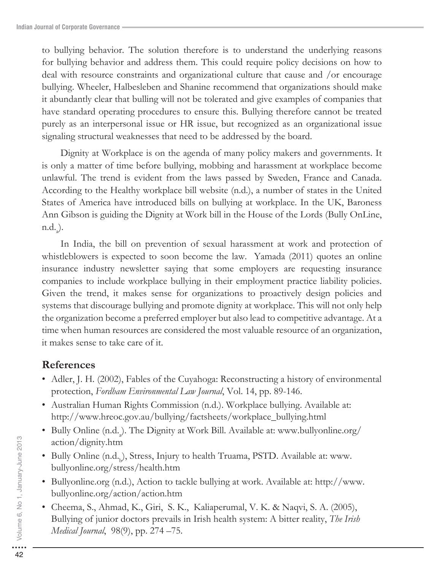to bullying behavior. The solution therefore is to understand the underlying reasons for bullying behavior and address them. This could require policy decisions on how to deal with resource constraints and organizational culture that cause and /or encourage bullying. Wheeler, Halbesleben and Shanine recommend that organizations should make it abundantly clear that bulling will not be tolerated and give examples of companies that have standard operating procedures to ensure this. Bullying therefore cannot be treated purely as an interpersonal issue or HR issue, but recognized as an organizational issue signaling structural weaknesses that need to be addressed by the board.

Dignity at Workplace is on the agenda of many policy makers and governments. It is only a matter of time before bullying, mobbing and harassment at workplace become unlawful. The trend is evident from the laws passed by Sweden, France and Canada. According to the Healthy workplace bill website (n.d.), a number of states in the United States of America have introduced bills on bullying at workplace. In the UK, Baroness Ann Gibson is guiding the Dignity at Work bill in the House of the Lords (Bully OnLine, n.d.<sub>a</sub>).

In India, the bill on prevention of sexual harassment at work and protection of whistleblowers is expected to soon become the law. Yamada (2011) quotes an online insurance industry newsletter saying that some employers are requesting insurance companies to include workplace bullying in their employment practice liability policies. Given the trend, it makes sense for organizations to proactively design policies and systems that discourage bullying and promote dignity at workplace. This will not only help the organization become a preferred employer but also lead to competitive advantage. At a time when human resources are considered the most valuable resource of an organization, it makes sense to take care of it.

# **References**

- Adler, J. H. (2002), Fables of the Cuyahoga: Reconstructing a history of environmental protection, *Fordham Environmental Law Journal*, Vol. 14, pp. 89-146.
- Australian Human Rights Commission (n.d.). Workplace bullying. Available at: http://www.hreoc.gov.au/bullying/factsheets/workplace\_bullying.html
- Bully Online (n.d. a ). The Dignity at Work Bill. Available at: www.bullyonline.org/ action/dignity.htm
- Bully Online (n.d.<sub>b</sub>), Stress, Injury to health Truama, PSTD. Available at: www. bullyonline.org/stress/health.htm
- Bullyonline.org (n.d.), Action to tackle bullying at work. Available at: http://www. bullyonline.org/action/action.htm
- Cheema, S., Ahmad, K., Giri, S. K., Kaliaperumal, V. K. & Naqvi, S. A. (2005), Bullying of junior doctors prevails in Irish health system: A bitter reality, *The Irish Medical Journal*, 98(9), pp. 274 –75.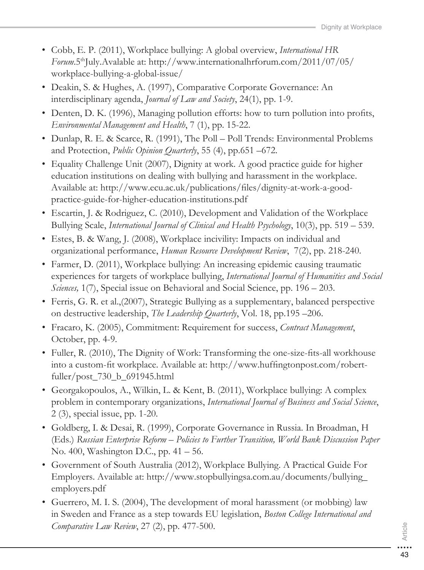- Cobb, E. P. (2011), Workplace bullying: A global overview, *International HR Forum*.5thJuly.Avalable at: http://www.internationalhrforum.com/2011/07/05/ workplace-bullying-a-global-issue/
- Deakin, S. & Hughes, A. (1997), Comparative Corporate Governance: An interdisciplinary agenda, *Journal of Law and Society*, 24(1), pp. 1-9.
- Denten, D. K. (1996), Managing pollution efforts: how to turn pollution into profits, *Environmental Management and Health*, 7 (1), pp. 15-22.
- Dunlap, R. E. & Scarce, R. (1991), The Poll Poll Trends: Environmental Problems and Protection, *Public Opinion Quarterly*, 55 (4), pp.651 –672.
- Equality Challenge Unit (2007), Dignity at work. A good practice guide for higher education institutions on dealing with bullying and harassment in the workplace. Available at: http://www.ecu.ac.uk/publications/files/dignity-at-work-a-goodpractice-guide-for-higher-education-institutions.pdf
- Escartin, J. & Rodriguez, C. (2010), Development and Validation of the Workplace Bullying Scale, *International Journal of Clinical and Health Psychology*, 10(3), pp. 519 – 539.
- Estes, B. & Wang, J. (2008), Workplace incivility: Impacts on individual and organizational performance, *Human Resource Development Review*, 7(2), pp. 218-240.
- Farmer, D. (2011), Workplace bullying: An increasing epidemic causing traumatic experiences for targets of workplace bullying, *International Journal of Humanities and Social Sciences,* 1(7), Special issue on Behavioral and Social Science, pp. 196 – 203.
- Ferris, G. R. et al.,(2007), Strategic Bullying as a supplementary, balanced perspective on destructive leadership, *The Leadership Quarterly*, Vol. 18, pp.195 –206.
- Fracaro, K. (2005), Commitment: Requirement for success, *Contract Management*, October, pp. 4-9.
- Fuller, R. (2010), The Dignity of Work: Transforming the one-size-fits-all workhouse into a custom-fit workplace. Available at: http://www.huffingtonpost.com/robertfuller/post\_730\_b\_691945.html
- Georgakopoulos, A., Wilkin, L. & Kent, B. (2011), Workplace bullying: A complex problem in contemporary organizations, *International Journal of Business and Social Science*, 2 (3), special issue, pp. 1-20.
- Goldberg, I. & Desai, R. (1999), Corporate Governance in Russia. In Broadman, H (Eds.) *Russian Enterprise Reform – Policies to Further Transition, World Bank Discussion Paper*  No. 400, Washington D.C., pp. 41 – 56.
- Government of South Australia (2012), Workplace Bullying. A Practical Guide For Employers. Available at: http://www.stopbullyingsa.com.au/documents/bullying\_ employers.pdf
- Guerrero, M. I. S. (2004), The development of moral harassment (or mobbing) law in Sweden and France as a step towards EU legislation, *Boston College International and Comparative Law Review*, 27 (2), pp. 477-500.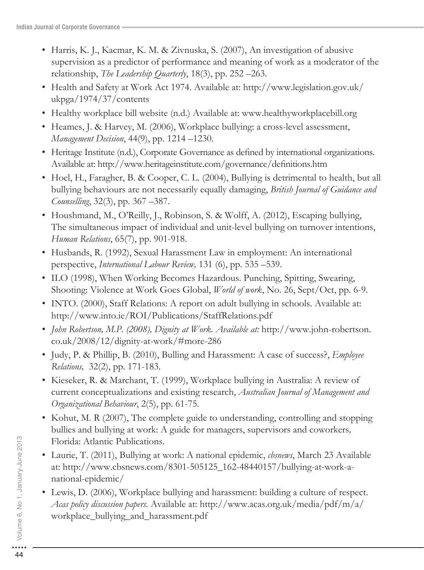- Harris, K. J., Kacmar, K. M. & Zivnuska, S. (2007), An investigation of abusive supervision as a predictor of performance and meaning of work as a moderator of the relationship, *The Leadership Quarterly*, 18(3), pp. 252 –263.
- Health and Safety at Work Act 1974. Available at: http://www.legislation.gov.uk/ ukpga/1974/37/contents
- Healthy workplace bill website (n.d.) Available at: www.healthyworkplacebill.org
- Heames, J. & Harvey, M. (2006), Workplace bullying: a cross-level assessment, *Management Decision*, 44(9), pp. 1214 –1230.
- Heritage Institute (n.d.), Corporate Governance as defined by international organizations. Available at: http://www.heritageinstitute.com/governance/definitions.htm
- Hoel, H., Faragher, B. & Cooper, C. L. (2004), Bullying is detrimental to health, but all bullying behaviours are not necessarily equally damaging, *British Journal of Guidance and Counselling*, 32(3), pp. 367 –387.
- Houshmand, M., O'Reilly, J., Robinson, S. & Wolff, A. (2012), Escaping bullying, The simultaneous impact of individual and unit-level bullying on turnover intentions, *Human Relations*, 65(7), pp. 901-918.
- Husbands, R. (1992), Sexual Harassment Law in employment: An international perspective, *International Labour Review,* 131 (6), pp. 535 –539.
- ILO (1998), When Working Becomes Hazardous. Punching, Spitting, Swearing, Shooting: Violence at Work Goes Global, *World of work*, No. 26, Sept/Oct, pp. 6-9.
- INTO. (2000), Staff Relations: A report on adult bullying in schools. Available at: http://www.into.ie/ROI/Publications/StaffRelations.pdf
- *John Robertson, M.P. (2008), Dignity at Work. Available at:* http://www.john-robertson. co.uk/2008/12/dignity-at-work/#more-286
- Judy, P. & Phillip, B. (2010), Bulling and Harassment: A case of success?, *Employee Relations,* 32(2), pp. 171-183.
- Kieseker, R. & Marchant, T. (1999), Workplace bullying in Australia: A review of current conceptualizations and existing research, *Australian Journal of Management and Organizational Behaviour*, 2(5), pp. 61-75.
- Kohut, M. R (2007), The complete guide to understanding, controlling and stopping bullies and bullying at work: A guide for managers, supervisors and coworkers*,*  Florida: Atlantic Publications.
- Laurie, T. (2011), Bullying at work: A national epidemic, *cbsnews*, March 23 Available at: http://www.cbsnews.com/8301-505125\_162-48440157/bullying-at-work-anational-epidemic/
- Lewis, D. (2006), Workplace bullying and harassment: building a culture of respect. *Acas policy discussion papers.* Available at: http://www.acas.org.uk/media/pdf/m/a/ workplace\_bullying\_and\_harassment.pdf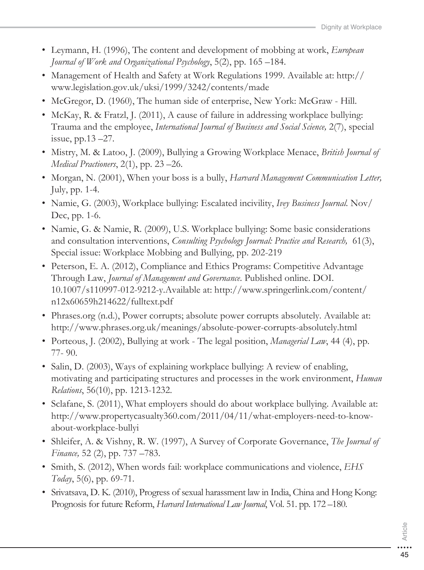- Leymann, H. (1996), The content and development of mobbing at work, *European Journal of Work and Organizational Psychology*, 5(2), pp. 165 –184.
- Management of Health and Safety at Work Regulations 1999. Available at: http:// www.legislation.gov.uk/uksi/1999/3242/contents/made
- McGregor, D. (1960), The human side of enterprise, New York: McGraw Hill.
- McKay, R. & Fratzl, J. (2011), A cause of failure in addressing workplace bullying: Trauma and the employee, *International Journal of Business and Social Science,* 2(7), special issue, pp.13 –27.
- Mistry, M. & Latoo, J. (2009), Bullying a Growing Workplace Menace, *British Journal of Medical Practioners*, 2(1), pp. 23 –26.
- Morgan, N. (2001), When your boss is a bully, *Harvard Management Communication Letter,* July, pp. 1-4.
- Namie, G. (2003), Workplace bullying: Escalated incivility, *Ivey Business Journal.* Nov/ Dec, pp. 1-6.
- Namie, G. & Namie, R. (2009), U.S. Workplace bullying: Some basic considerations and consultation interventions, *Consulting Psychology Journal: Practice and Research,* 61(3), Special issue: Workplace Mobbing and Bullying, pp. 202-219
- Peterson, E. A. (2012), Compliance and Ethics Programs: Competitive Advantage Through Law, *Journal of Management and Governance*. Published online. DOI. 10.1007/s110997-012-9212-y.Available at: http://www.springerlink.com/content/ n12x60659h214622/fulltext.pdf
- Phrases.org (n.d.), Power corrupts; absolute power corrupts absolutely. Available at: http://www.phrases.org.uk/meanings/absolute-power-corrupts-absolutely.html
- Porteous, J. (2002), Bullying at work The legal position, *Managerial Law*, 44 (4), pp. 77- 90.
- Salin, D. (2003), Ways of explaining workplace bullying: A review of enabling, motivating and participating structures and processes in the work environment, *Human Relations*, 56(10), pp. 1213-1232.
- Sclafane, S. (2011), What employers should do about workplace bullying. Available at: http://www.propertycasualty360.com/2011/04/11/what-employers-need-to-knowabout-workplace-bullyi
- Shleifer, A. & Vishny, R. W. (1997), A Survey of Corporate Governance, *The Journal of Finance,* 52 (2), pp. 737 –783.
- Smith, S. (2012), When words fail: workplace communications and violence, *EHS Today*, 5(6), pp. 69-71.
- Srivatsava, D. K. (2010), Progress of sexual harassment law in India, China and Hong Kong: Prognosis for future Reform, *Harvard International Law Journal*, Vol. 51. pp. 172 –180.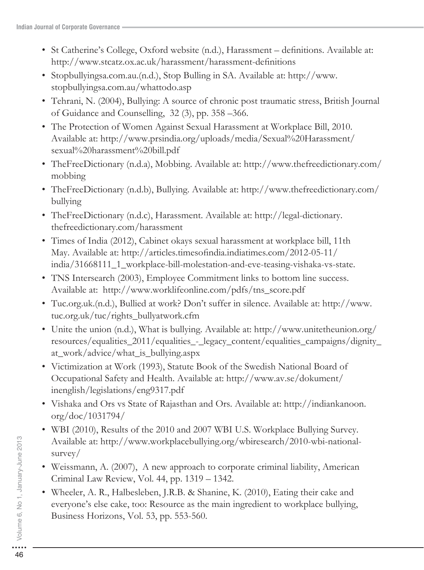- St Catherine's College, Oxford website (n.d.), Harassment definitions. Available at: http://www.stcatz.ox.ac.uk/harassment/harassment-definitions
- Stopbullyingsa.com.au.(n.d.), Stop Bulling in SA. Available at: http://www. stopbullyingsa.com.au/whattodo.asp
- Tehrani, N. (2004), Bullying: A source of chronic post traumatic stress, British Journal of Guidance and Counselling, 32 (3), pp. 358 –366.
- The Protection of Women Against Sexual Harassment at Workplace Bill, 2010. Available at: http://www.prsindia.org/uploads/media/Sexual%20Harassment/ sexual%20harassment%20bill.pdf
- TheFreeDictionary (n.d.a), Mobbing. Available at: http://www.thefreedictionary.com/ mobbing
- TheFreeDictionary (n.d.b), Bullying. Available at: http://www.thefreedictionary.com/ bullying
- TheFreeDictionary (n.d.c), Harassment. Available at: http://legal-dictionary. thefreedictionary.com/harassment
- Times of India (2012), Cabinet okays sexual harassment at workplace bill, 11th May. Available at: http://articles.timesofindia.indiatimes.com/2012-05-11/ india/31668111\_1\_workplace-bill-molestation-and-eve-teasing-vishaka-vs-state.
- TNS Intersearch (2003), Employee Commitment links to bottom line success. Available at: http://www.worklifeonline.com/pdfs/tns\_score.pdf
- Tuc.org.uk.(n.d.), Bullied at work? Don't suffer in silence. Available at: http://www. tuc.org.uk/tuc/rights\_bullyatwork.cfm
- Unite the union (n.d.), What is bullying. Available at: http://www.unitetheunion.org/ resources/equalities\_2011/equalities\_-\_legacy\_content/equalities\_campaigns/dignity\_ at\_work/advice/what\_is\_bullying.aspx
- Victimization at Work (1993), Statute Book of the Swedish National Board of Occupational Safety and Health. Available at: http://www.av.se/dokument/ inenglish/legislations/eng9317.pdf
- Vishaka and Ors vs State of Rajasthan and Ors. Available at: http://indiankanoon. org/doc/1031794/
- WBI (2010), Results of the 2010 and 2007 WBI U.S. Workplace Bullying Survey. Available at: http://www.workplacebullying.org/wbiresearch/2010-wbi-nationalsurvey/
- Weissmann, A. (2007), A new approach to corporate criminal liability, American Criminal Law Review, Vol. 44, pp. 1319 – 1342.
- Wheeler, A. R., Halbesleben, J.R.B. & Shanine, K. (2010), Eating their cake and everyone's else cake, too: Resource as the main ingredient to workplace bullying, Business Horizons, Vol. 53, pp. 553-560.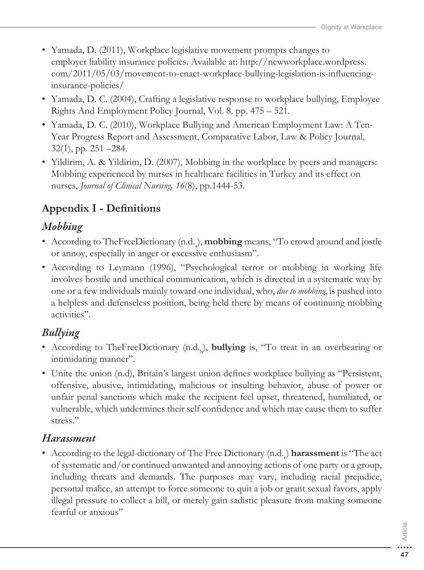- Yamada, D. (2011), Workplace legislative movement prompts changes to employer liability insurance policies. Available at: http://newworkplace.wordpress. com/2011/05/03/movement-to-enact-workplace-bullying-legislation-is-influencinginsurance-policies/
- Yamada, D. C. (2004), Crafting a legislative response to workplace bullying, Employee Rights And Employment Policy Journal, Vol. 8. pp. 475 – 521.
- Yamada, D. C. (2010), Workplace Bullying and American Employment Law: A Ten-Year Progress Report and Assessment, Comparative Labor, Law & Policy Journal, 32(1), pp. 251 –284.
- Yildirim, A. & Yildirim, D. (2007), Mobbing in the workplace by peers and managers: Mobbing experienced by nurses in healthcare facilities in Turkey and its effect on nurses, *Journal of Clinical Nursing, 16*(8), pp.1444-53.

# **Appendix I - Definitions**

# Mobbing

- According to TheFreeDictionary (n.d.<sub>a</sub>), **mobbing** means, "To crowd around and jostle or annoy, especially in anger or excessive enthusiasm".
- According to Leymann (1996), "Psychological terror or mobbing in working life involves hostile and unethical communication, which is directed in a systematic way by one or a few individuals mainly toward one individual, who, *due to mobbing*, is pushed into a helpless and defenseless position, being held there by means of continuing mobbing activities".

# Bullying

- According to TheFreeDictionary (n.d.<sub>b</sub>), **bullying** is, "To treat in an overbearing or intimidating manner".
- Unite the union (n.d), Britain's largest union defines workplace bullying as "Persistent, offensive, abusive, intimidating, malicious or insulting behavior, abuse of power or unfair penal sanctions which make the recipient feel upset, threatened, humiliated, or vulnerable, which undermines their self confidence and which may cause them to suffer stress."

# Harassment

• According to the legal-dictionary of The Free Dictionary (n.d. c ) **harassment** is "The act of systematic and/or continued unwanted and annoying actions of one party or a group, including threats and demands. The purposes may vary, including racial prejudice, personal malice, an attempt to force someone to quit a job or grant sexual favors, apply illegal pressure to collect a bill, or merely gain sadistic pleasure from making someone fearful or anxious"